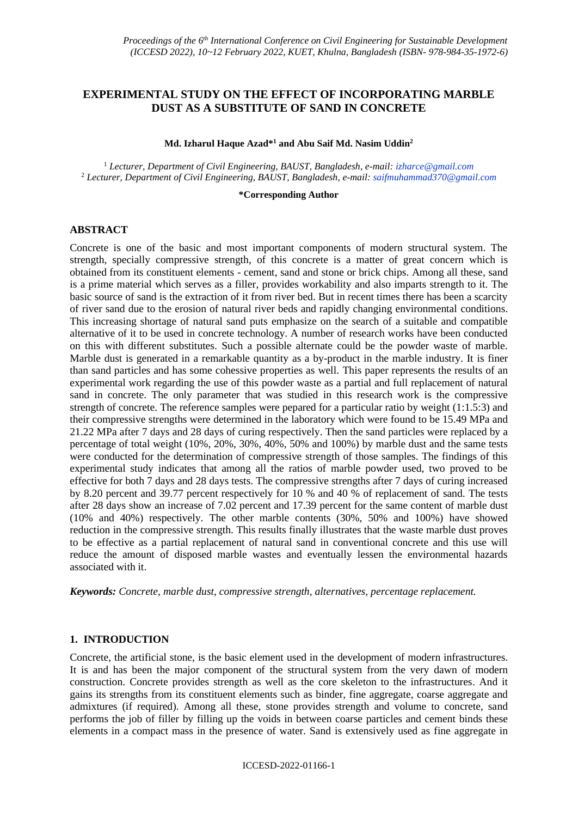# **EXPERIMENTAL STUDY ON THE EFFECT OF INCORPORATING MARBLE DUST AS A SUBSTITUTE OF SAND IN CONCRETE**

#### **Md. Izharul Haque Azad\* <sup>1</sup> and Abu Saif Md. Nasim Uddin<sup>2</sup>**

<sup>1</sup> *Lecturer, Department of Civil Engineering, BAUST, Bangladesh, e-mail: izharce@gmail.com* <sup>2</sup> *Lecturer, Department of Civil Engineering, BAUST, Bangladesh, e-mail: saifmuhammad370@gmail.com*

#### **\*Corresponding Author**

#### **ABSTRACT**

Concrete is one of the basic and most important components of modern structural system. The strength, specially compressive strength, of this concrete is a matter of great concern which is obtained from its constituent elements - cement, sand and stone or brick chips. Among all these, sand is a prime material which serves as a filler, provides workability and also imparts strength to it. The basic source of sand is the extraction of it from river bed. But in recent times there has been a scarcity of river sand due to the erosion of natural river beds and rapidly changing environmental conditions. This increasing shortage of natural sand puts emphasize on the search of a suitable and compatible alternative of it to be used in concrete technology. A number of research works have been conducted on this with different substitutes. Such a possible alternate could be the powder waste of marble. Marble dust is generated in a remarkable quantity as a by-product in the marble industry. It is finer than sand particles and has some cohessive properties as well. This paper represents the results of an experimental work regarding the use of this powder waste as a partial and full replacement of natural sand in concrete. The only parameter that was studied in this research work is the compressive strength of concrete. The reference samples were pepared for a particular ratio by weight (1:1.5:3) and their compressive strengths were determined in the laboratory which were found to be 15.49 MPa and 21.22 MPa after 7 days and 28 days of curing respectively. Then the sand particles were replaced by a percentage of total weight (10%, 20%, 30%, 40%, 50% and 100%) by marble dust and the same tests were conducted for the determination of compressive strength of those samples. The findings of this experimental study indicates that among all the ratios of marble powder used, two proved to be effective for both 7 days and 28 days tests. The compressive strengths after 7 days of curing increased by 8.20 percent and 39.77 percent respectively for 10 % and 40 % of replacement of sand. The tests after 28 days show an increase of 7.02 percent and 17.39 percent for the same content of marble dust (10% and 40%) respectively. The other marble contents (30%, 50% and 100%) have showed reduction in the compressive strength. This results finally illustrates that the waste marble dust proves to be effective as a partial replacement of natural sand in conventional concrete and this use will reduce the amount of disposed marble wastes and eventually lessen the environmental hazards associated with it.

*Keywords: Concrete, marble dust, compressive strength, alternatives, percentage replacement.*

#### **1. INTRODUCTION**

Concrete, the artificial stone, is the basic element used in the development of modern infrastructures. It is and has been the major component of the structural system from the very dawn of modern construction. Concrete provides strength as well as the core skeleton to the infrastructures. And it gains its strengths from its constituent elements such as binder, fine aggregate, coarse aggregate and admixtures (if required). Among all these, stone provides strength and volume to concrete, sand performs the job of filler by filling up the voids in between coarse particles and cement binds these elements in a compact mass in the presence of water. Sand is extensively used as fine aggregate in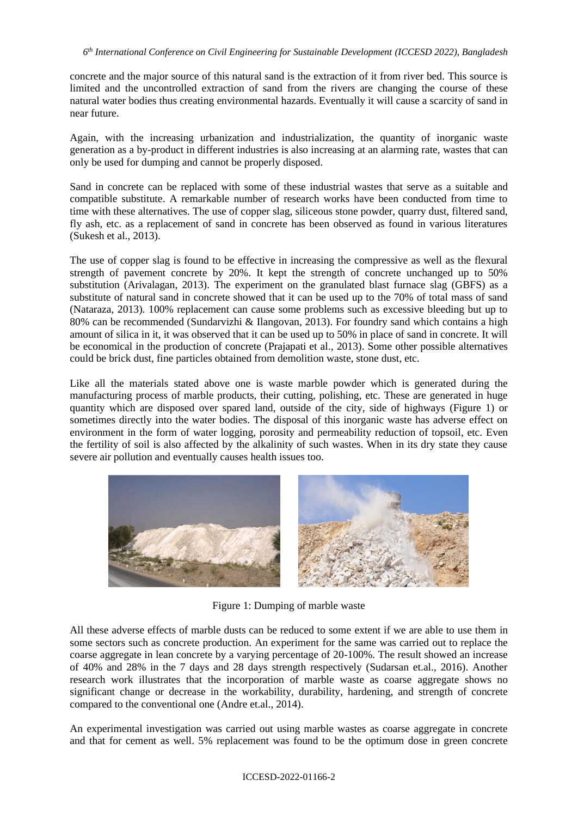concrete and the major source of this natural sand is the extraction of it from river bed. This source is limited and the uncontrolled extraction of sand from the rivers are changing the course of these natural water bodies thus creating environmental hazards. Eventually it will cause a scarcity of sand in near future.

Again, with the increasing urbanization and industrialization, the quantity of inorganic waste generation as a by-product in different industries is also increasing at an alarming rate, wastes that can only be used for dumping and cannot be properly disposed.

Sand in concrete can be replaced with some of these industrial wastes that serve as a suitable and compatible substitute. A remarkable number of research works have been conducted from time to time with these alternatives. The use of copper slag, siliceous stone powder, quarry dust, filtered sand, fly ash, etc. as a replacement of sand in concrete has been observed as found in various literatures (Sukesh et al., 2013).

The use of copper slag is found to be effective in increasing the compressive as well as the flexural strength of pavement concrete by 20%. It kept the strength of concrete unchanged up to 50% substitution (Arivalagan, 2013). The experiment on the granulated blast furnace slag (GBFS) as a substitute of natural sand in concrete showed that it can be used up to the 70% of total mass of sand (Nataraza, 2013). 100% replacement can cause some problems such as excessive bleeding but up to 80% can be recommended (Sundarvizhi & Ilangovan, 2013). For foundry sand which contains a high amount of silica in it, it was observed that it can be used up to 50% in place of sand in concrete. It will be economical in the production of concrete (Prajapati et al., 2013). Some other possible alternatives could be brick dust, fine particles obtained from demolition waste, stone dust, etc.

Like all the materials stated above one is waste marble powder which is generated during the manufacturing process of marble products, their cutting, polishing, etc. These are generated in huge quantity which are disposed over spared land, outside of the city, side of highways (Figure 1) or sometimes directly into the water bodies. The disposal of this inorganic waste has adverse effect on environment in the form of water logging, porosity and permeability reduction of topsoil, etc. Even the fertility of soil is also affected by the alkalinity of such wastes. When in its dry state they cause severe air pollution and eventually causes health issues too.



Figure 1: Dumping of marble waste

All these adverse effects of marble dusts can be reduced to some extent if we are able to use them in some sectors such as concrete production. An experiment for the same was carried out to replace the coarse aggregate in lean concrete by a varying percentage of 20-100%. The result showed an increase of 40% and 28% in the 7 days and 28 days strength respectively (Sudarsan et.al., 2016). Another research work illustrates that the incorporation of marble waste as coarse aggregate shows no significant change or decrease in the workability, durability, hardening, and strength of concrete compared to the conventional one (Andre et.al., 2014).

An experimental investigation was carried out using marble wastes as coarse aggregate in concrete and that for cement as well. 5% replacement was found to be the optimum dose in green concrete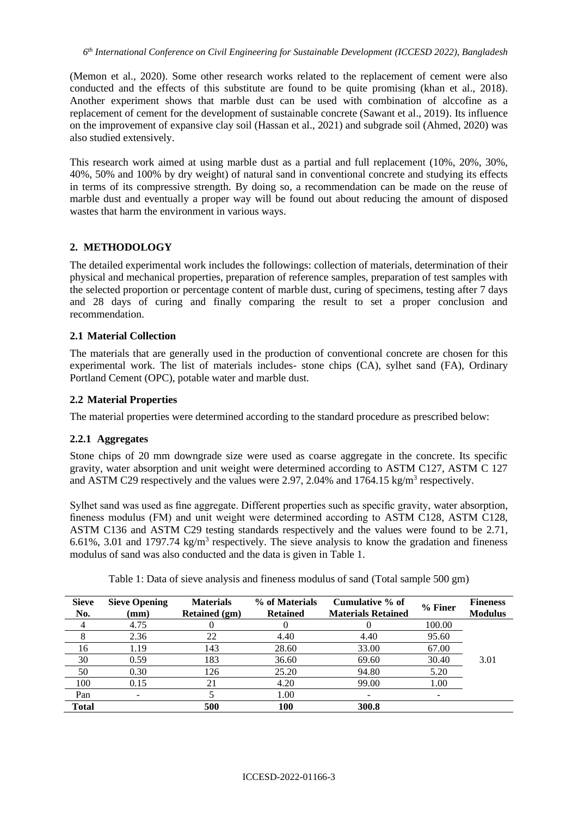(Memon et al., 2020). Some other research works related to the replacement of cement were also conducted and the effects of this substitute are found to be quite promising (khan et al., 2018). Another experiment shows that marble dust can be used with combination of alccofine as a replacement of cement for the development of sustainable concrete (Sawant et al., 2019). Its influence on the improvement of expansive clay soil (Hassan et al., 2021) and subgrade soil (Ahmed, 2020) was also studied extensively.

This research work aimed at using marble dust as a partial and full replacement (10%, 20%, 30%, 40%, 50% and 100% by dry weight) of natural sand in conventional concrete and studying its effects in terms of its compressive strength. By doing so, a recommendation can be made on the reuse of marble dust and eventually a proper way will be found out about reducing the amount of disposed wastes that harm the environment in various ways.

## **2. METHODOLOGY**

The detailed experimental work includes the followings: collection of materials, determination of their physical and mechanical properties, preparation of reference samples, preparation of test samples with the selected proportion or percentage content of marble dust, curing of specimens, testing after 7 days and 28 days of curing and finally comparing the result to set a proper conclusion and recommendation.

## **2.1 Material Collection**

The materials that are generally used in the production of conventional concrete are chosen for this experimental work. The list of materials includes- stone chips (CA), sylhet sand (FA), Ordinary Portland Cement (OPC), potable water and marble dust.

## **2.2 Material Properties**

The material properties were determined according to the standard procedure as prescribed below:

## **2.2.1 Aggregates**

Stone chips of 20 mm downgrade size were used as coarse aggregate in the concrete. Its specific gravity, water absorption and unit weight were determined according to ASTM C127, ASTM C 127 and ASTM C29 respectively and the values were 2.97, 2.04% and 1764.15 kg/m<sup>3</sup> respectively.

Sylhet sand was used as fine aggregate. Different properties such as specific gravity, water absorption, fineness modulus (FM) and unit weight were determined according to ASTM C128, ASTM C128, ASTM C136 and ASTM C29 testing standards respectively and the values were found to be 2.71, 6.61%, 3.01 and 1797.74  $kg/m<sup>3</sup>$  respectively. The sieve analysis to know the gradation and fineness modulus of sand was also conducted and the data is given in Table 1.

| <b>Sieve</b><br>No. | <b>Sieve Opening</b><br>$(\mathbf{mm})$ | <b>Materials</b><br><b>Retained</b> (gm) | % of Materials<br><b>Retained</b> | Cumulative % of<br><b>Materials Retained</b> | % Finer | <b>Fineness</b><br><b>Modulus</b> |
|---------------------|-----------------------------------------|------------------------------------------|-----------------------------------|----------------------------------------------|---------|-----------------------------------|
|                     | 4.75                                    |                                          |                                   |                                              | 100.00  |                                   |
|                     | 2.36                                    | 22                                       | 4.40                              | 4.40                                         | 95.60   |                                   |
| 16                  | 1.19                                    | 143                                      | 28.60                             | 33.00                                        | 67.00   |                                   |
| 30                  | 0.59                                    | 183                                      | 36.60                             | 69.60                                        | 30.40   | 3.01                              |
| 50                  | 0.30                                    | 126                                      | 25.20                             | 94.80                                        | 5.20    |                                   |
| 100                 | 0.15                                    | 21                                       | 4.20                              | 99.00                                        | 1.00    |                                   |
| Pan                 |                                         |                                          | 1.00                              |                                              |         |                                   |
| <b>Total</b>        |                                         | 500                                      | 100                               | 300.8                                        |         |                                   |

Table 1: Data of sieve analysis and fineness modulus of sand (Total sample 500 gm)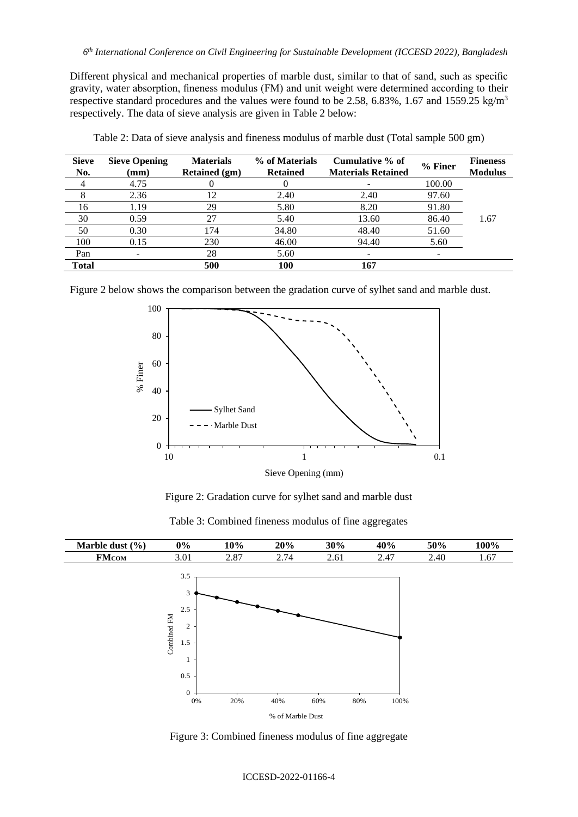Different physical and mechanical properties of marble dust, similar to that of sand, such as specific gravity, water absorption, fineness modulus (FM) and unit weight were determined according to their respective standard procedures and the values were found to be 2.58, 6.83%, 1.67 and 1559.25 kg/m<sup>3</sup> respectively. The data of sieve analysis are given in Table 2 below:

| <b>Sieve</b><br>No. | <b>Sieve Opening</b><br>$(\mathbf{mm})$ | <b>Materials</b><br><b>Retained (gm)</b> | % of Materials<br><b>Retained</b> | Cumulative % of<br><b>Materials Retained</b> | % Finer | <b>Fineness</b><br><b>Modulus</b> |
|---------------------|-----------------------------------------|------------------------------------------|-----------------------------------|----------------------------------------------|---------|-----------------------------------|
|                     | 4.75                                    |                                          |                                   |                                              | 100.00  |                                   |
|                     | 2.36                                    | 12                                       | 2.40                              | 2.40                                         | 97.60   |                                   |
| 16                  | 1.19                                    | 29                                       | 5.80                              | 8.20                                         | 91.80   |                                   |
| 30                  | 0.59                                    | 27                                       | 5.40                              | 13.60                                        | 86.40   | 1.67                              |
| 50                  | 0.30                                    | 174                                      | 34.80                             | 48.40                                        | 51.60   |                                   |
| 100                 | 0.15                                    | 230                                      | 46.00                             | 94.40                                        | 5.60    |                                   |
| Pan                 | $\overline{\phantom{a}}$                | 28                                       | 5.60                              | -                                            |         |                                   |
| Total               |                                         | 500                                      | 100                               | 167                                          |         |                                   |

Table 2: Data of sieve analysis and fineness modulus of marble dust (Total sample 500 gm)

Figure 2 below shows the comparison between the gradation curve of sylhet sand and marble dust.



Figure 2: Gradation curve for sylhet sand and marble dust

|  | Table 3: Combined fineness modulus of fine aggregates |
|--|-------------------------------------------------------|
|--|-------------------------------------------------------|



Figure 3: Combined fineness modulus of fine aggregate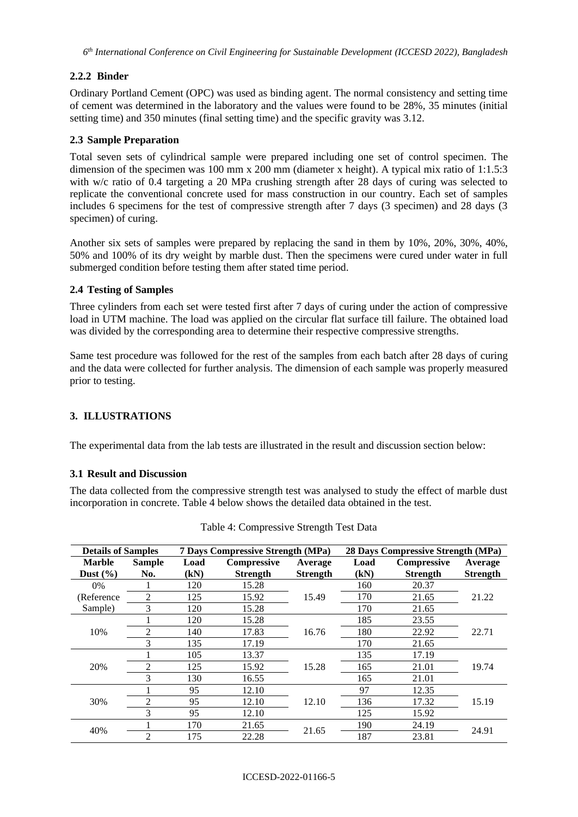## **2.2.2 Binder**

Ordinary Portland Cement (OPC) was used as binding agent. The normal consistency and setting time of cement was determined in the laboratory and the values were found to be 28%, 35 minutes (initial setting time) and 350 minutes (final setting time) and the specific gravity was 3.12.

## **2.3 Sample Preparation**

Total seven sets of cylindrical sample were prepared including one set of control specimen. The dimension of the specimen was 100 mm x 200 mm (diameter x height). A typical mix ratio of 1:1.5:3 with w/c ratio of 0.4 targeting a 20 MPa crushing strength after 28 days of curing was selected to replicate the conventional concrete used for mass construction in our country. Each set of samples includes 6 specimens for the test of compressive strength after 7 days (3 specimen) and 28 days (3 specimen) of curing.

Another six sets of samples were prepared by replacing the sand in them by 10%, 20%, 30%, 40%, 50% and 100% of its dry weight by marble dust. Then the specimens were cured under water in full submerged condition before testing them after stated time period.

## **2.4 Testing of Samples**

Three cylinders from each set were tested first after 7 days of curing under the action of compressive load in UTM machine. The load was applied on the circular flat surface till failure. The obtained load was divided by the corresponding area to determine their respective compressive strengths.

Same test procedure was followed for the rest of the samples from each batch after 28 days of curing and the data were collected for further analysis. The dimension of each sample was properly measured prior to testing.

## **3. ILLUSTRATIONS**

The experimental data from the lab tests are illustrated in the result and discussion section below:

### **3.1 Result and Discussion**

The data collected from the compressive strength test was analysed to study the effect of marble dust incorporation in concrete. Table 4 below shows the detailed data obtained in the test.

| <b>Details of Samples</b> |                | 7 Days Compressive Strength (MPa) |                    |                 | 28 Days Compressive Strength (MPa) |                    |                 |
|---------------------------|----------------|-----------------------------------|--------------------|-----------------|------------------------------------|--------------------|-----------------|
| <b>Marble</b>             | <b>Sample</b>  | Load                              | <b>Compressive</b> | Average         | Load                               | <b>Compressive</b> | Average         |
| Dust $(\% )$              | No.            | (kN)                              | <b>Strength</b>    | <b>Strength</b> | (kN)                               | <b>Strength</b>    | <b>Strength</b> |
| $0\%$                     |                | 120                               | 15.28              |                 | 160                                | 20.37              |                 |
| (Reference)               | $\mathfrak{D}$ | 125                               | 15.92              | 15.49           | 170                                | 21.65              | 21.22           |
| Sample)                   | 3              | 120                               | 15.28              |                 | 170                                | 21.65              |                 |
|                           |                | 120                               | 15.28              | 16.76           | 185                                | 23.55              | 22.71           |
| 10%                       | $\mathfrak{D}$ | 140                               | 17.83              |                 | 180                                | 22.92              |                 |
|                           | 3              | 135                               | 17.19              |                 | 170                                | 21.65              |                 |
|                           |                | 105                               | 13.37              | 15.28           | 135                                | 17.19              | 19.74           |
| 20%                       | $\mathfrak{D}$ | 125                               | 15.92              |                 | 165                                | 21.01              |                 |
|                           | 3              | 130                               | 16.55              |                 | 165                                | 21.01              |                 |
|                           |                | 95                                | 12.10              | 12.10           | 97                                 | 12.35              |                 |
| 30%                       |                | 95                                | 12.10              |                 | 136                                | 17.32              | 15.19           |
|                           | 3              | 95                                | 12.10              |                 | 125                                | 15.92              |                 |
| 40%                       |                | 170                               | 21.65              | 21.65           | 190                                | 24.19              | 24.91           |
|                           | $\mathfrak{D}$ | 175                               | 22.28              |                 | 187                                | 23.81              |                 |

Table 4: Compressive Strength Test Data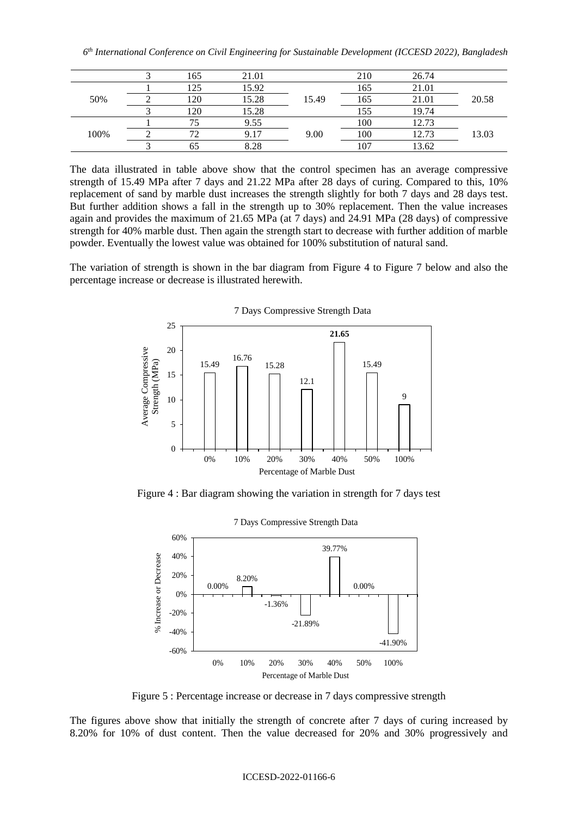|      | 165          | 21.01 |       | 210 | 26.74 |       |
|------|--------------|-------|-------|-----|-------|-------|
| 50%  | 125          | 15.92 |       | 165 | 21.01 |       |
|      | 120          | 15.28 | 15.49 | 165 | 21.01 | 20.58 |
|      | 120          | 15.28 |       | 155 | 19.74 |       |
| 100% |              | 9.55  |       | 100 | 12.73 | 13.03 |
|      | $72^{\circ}$ | 9.17  | 9.00  | 100 | 12.73 |       |
|      | 65           | 8.28  |       | 107 | 13.62 |       |

The data illustrated in table above show that the control specimen has an average compressive strength of 15.49 MPa after 7 days and 21.22 MPa after 28 days of curing. Compared to this, 10% replacement of sand by marble dust increases the strength slightly for both 7 days and 28 days test. But further addition shows a fall in the strength up to 30% replacement. Then the value increases again and provides the maximum of 21.65 MPa (at 7 days) and 24.91 MPa (28 days) of compressive strength for 40% marble dust. Then again the strength start to decrease with further addition of marble powder. Eventually the lowest value was obtained for 100% substitution of natural sand.

The variation of strength is shown in the bar diagram from Figure 4 to Figure 7 below and also the percentage increase or decrease is illustrated herewith.



Figure 4 : Bar diagram showing the variation in strength for 7 days test



Figure 5 : Percentage increase or decrease in 7 days compressive strength

The figures above show that initially the strength of concrete after 7 days of curing increased by 8.20% for 10% of dust content. Then the value decreased for 20% and 30% progressively and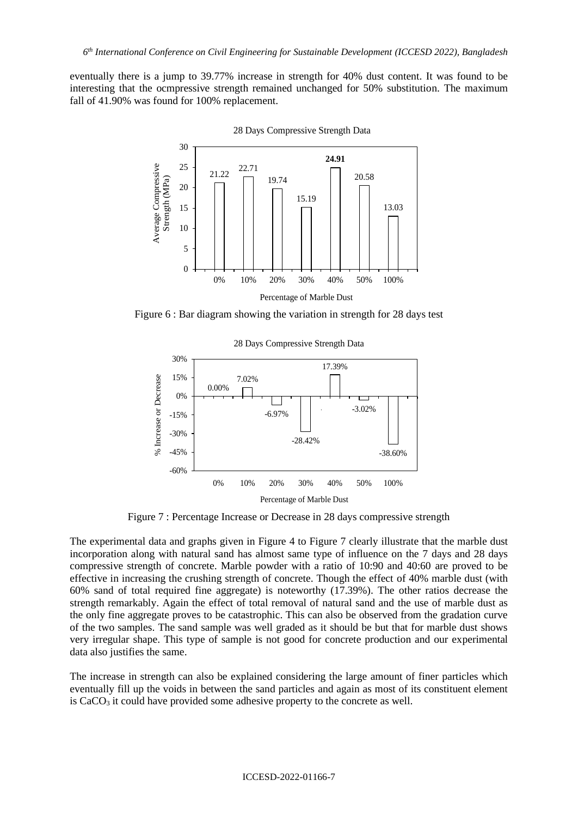eventually there is a jump to 39.77% increase in strength for 40% dust content. It was found to be interesting that the ocmpressive strength remained unchanged for 50% substitution. The maximum fall of 41.90% was found for 100% replacement.



28 Days Compressive Strength Data

Figure 6 : Bar diagram showing the variation in strength for 28 days test



28 Days Compressive Strength Data

Figure 7 : Percentage Increase or Decrease in 28 days compressive strength

The experimental data and graphs given in Figure 4 to Figure 7 clearly illustrate that the marble dust incorporation along with natural sand has almost same type of influence on the 7 days and 28 days compressive strength of concrete. Marble powder with a ratio of 10:90 and 40:60 are proved to be effective in increasing the crushing strength of concrete. Though the effect of 40% marble dust (with 60% sand of total required fine aggregate) is noteworthy (17.39%). The other ratios decrease the strength remarkably. Again the effect of total removal of natural sand and the use of marble dust as the only fine aggregate proves to be catastrophic. This can also be observed from the gradation curve of the two samples. The sand sample was well graded as it should be but that for marble dust shows very irregular shape. This type of sample is not good for concrete production and our experimental data also justifies the same.

The increase in strength can also be explained considering the large amount of finer particles which eventually fill up the voids in between the sand particles and again as most of its constituent element is  $CaCO<sub>3</sub>$  it could have provided some adhesive property to the concrete as well.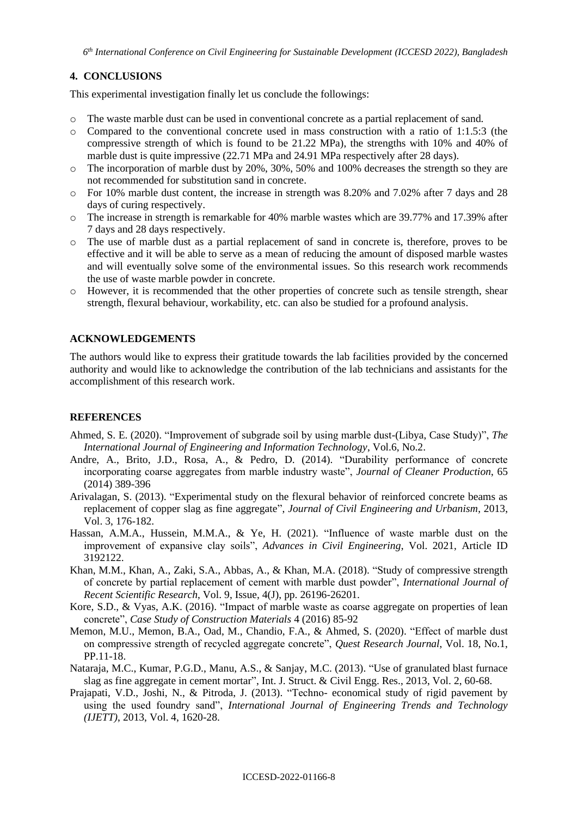## **4. CONCLUSIONS**

This experimental investigation finally let us conclude the followings:

- o The waste marble dust can be used in conventional concrete as a partial replacement of sand.
- o Compared to the conventional concrete used in mass construction with a ratio of 1:1.5:3 (the compressive strength of which is found to be 21.22 MPa), the strengths with 10% and 40% of marble dust is quite impressive (22.71 MPa and 24.91 MPa respectively after 28 days).
- $\circ$  The incorporation of marble dust by 20%, 30%, 50% and 100% decreases the strength so they are not recommended for substitution sand in concrete.
- o For 10% marble dust content, the increase in strength was 8.20% and 7.02% after 7 days and 28 days of curing respectively.
- o The increase in strength is remarkable for 40% marble wastes which are 39.77% and 17.39% after 7 days and 28 days respectively.
- o The use of marble dust as a partial replacement of sand in concrete is, therefore, proves to be effective and it will be able to serve as a mean of reducing the amount of disposed marble wastes and will eventually solve some of the environmental issues. So this research work recommends the use of waste marble powder in concrete.
- o However, it is recommended that the other properties of concrete such as tensile strength, shear strength, flexural behaviour, workability, etc. can also be studied for a profound analysis.

### **ACKNOWLEDGEMENTS**

The authors would like to express their gratitude towards the lab facilities provided by the concerned authority and would like to acknowledge the contribution of the lab technicians and assistants for the accomplishment of this research work.

### **REFERENCES**

- Ahmed, S. E. (2020). "Improvement of subgrade soil by using marble dust-(Libya, Case Study)", *The International Journal of Engineering and Information Technology*, Vol.6, No.2.
- Andre, A., Brito, J.D., Rosa, A., & Pedro, D. (2014). "Durability performance of concrete incorporating coarse aggregates from marble industry waste", *Journal of Cleaner Production*, 65 (2014) 389-396
- Arivalagan, S. (2013). "Experimental study on the flexural behavior of reinforced concrete beams as replacement of copper slag as fine aggregate", *Journal of Civil Engineering and Urbanism*, 2013, Vol. 3, 176-182.
- Hassan, A.M.A., Hussein, M.M.A., & Ye, H. (2021). "Influence of waste marble dust on the improvement of expansive clay soils", *Advances in Civil Engineering*, Vol. 2021, Article ID 3192122.
- Khan, M.M., Khan, A., Zaki, S.A., Abbas, A., & Khan, M.A. (2018). "Study of compressive strength of concrete by partial replacement of cement with marble dust powder", *International Journal of Recent Scientific Research*, Vol. 9, Issue, 4(J), pp. 26196-26201.
- Kore, S.D., & Vyas, A.K. (2016). "Impact of marble waste as coarse aggregate on properties of lean concrete", *Case Study of Construction Materials* 4 (2016) 85-92
- Memon, M.U., Memon, B.A., Oad, M., Chandio, F.A., & Ahmed, S. (2020). "Effect of marble dust on compressive strength of recycled aggregate concrete", *Quest Research Journal*, Vol. 18, No.1, PP.11-18.
- Nataraja, M.C., Kumar, P.G.D., Manu, A.S., & Sanjay, M.C. (2013). "Use of granulated blast furnace slag as fine aggregate in cement mortar", Int. J. Struct. & Civil Engg. Res., 2013, Vol. 2, 60-68.
- Prajapati, V.D., Joshi, N., & Pitroda, J. (2013). "Techno- economical study of rigid pavement by using the used foundry sand", *International Journal of Engineering Trends and Technology (IJETT)*, 2013, Vol. 4, 1620-28.